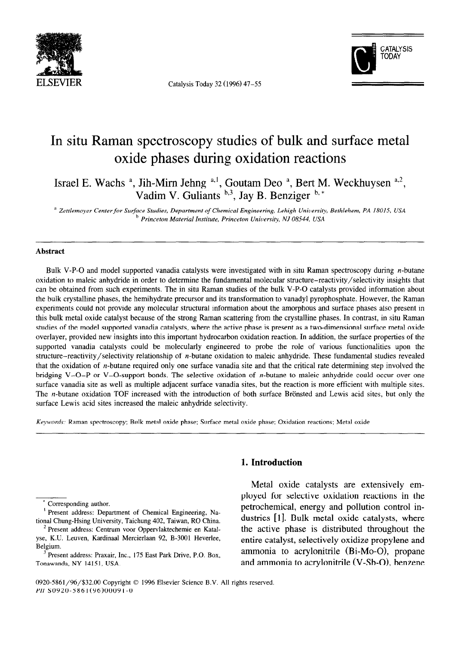

**ELSEVIER** Catalysis Today 32 (1996) 47-55



# In situ Raman spectroscopy studies of bulk and surface metal oxide phases during oxidation reactions

Israel E. Wachs <sup>a</sup>, Jih-Mirn Jehng <sup>a, 1</sup>, Goutam Deo <sup>a</sup>, Bert M. Weckhuysen <sup>a, 2</sup>, Vadim V. Guliants  $\mathfrak{p},3$ , Jay B. Benziger  $\mathfrak{p}, *$ 

<sup>a</sup> Zettlemoyer Center for Surface Studies, Department of Chemical Engineering, Lehigh University, Bethlehem, PA 18015, USA *b Princeton Material Institute, Princeton Unioersily, NJ 08544, USA* 

#### **Abstract**

Bulk V-P-O and model supported vanadia catalysts were investigated with in situ Raman spectroscopy during *n*-butane oxidation to maleic anhydride in order to determine the fundamental molecular structure-reactivity/selectivity insights that can be obtained from such experiments. The in situ Raman studies of the bulk V-P-O catalysts provided information about the bulk crystalline phases, the hemihydrate precursor and its transformation to vanadyl pyrophosphate. However, the Raman experiments could not provide any molecular structural information about the amorphous and surface phases also present in this bulk metal oxide catalyst because of the strong Raman scattering from the crystalline phases. In contrast, in situ Raman studies of the model supported vanadia catalysts, where the active phase is present as a two-dimensional surface metal oxide overlayer, provided new insights into this important hydrocarbon oxidation reaction. In addition, the surface properties of the supported vanadia catalysts could be molecularly engineered to probe the role of various functionalities upon the structure-reactivity/selectivity relationship of n-butane oxidation to maleic anhydride. These fundamental studies revealed that the oxidation of n-butane required only one surface vanadia site and that the critical rate determining step involved the bridging V-O-P or V-O-support bonds. The selective oxidation of *n*-butane to maleic anhydride could occur over one surface vanadia site as well as multiple adjacent surface vanadia sites, but the reaction is more efficient with multiple sites. The *n*-butane oxidation TOF increased with the introduction of both surface Brönsted and Lewis acid sites, but only the surface Lewis acid sites increased the maleic anhydride selectivity.

*Keywords:* Raman spectroscopy; Bulk metal oxide phase; Surface metal oxide phase; Oxidation reactions; Metal oxide

Corresponding author.

' Present address: Department of Chemical Engineering, National Chung-Hsing University, Taichung 402, Taiwan, RO China.

# **1. Introduction**

Metal oxide catalysts are extensively em ployed for selective oxidation reactions in the petrochemical, energy and pollution control industries [l]. Bulk metal oxide catalysts, where the active phase is distributed throughout the entire catalyst, selectively oxidize propylene and ammonia to acrylonitrile (Bi-MO-O), propane and ammonia to acrylonitrile  $(V-Sb-O)$ , benzene

<sup>&</sup>lt;sup>2</sup> Present address: Centrum voor Oppervlaktechemie en Katalyse, K.U. Leuven, Kardinaal Mercierlaan 92, B-3001 Heverlee, Belgium.

Present address: Praxair, Inc., 175 East Park Drive, P.O. Box, Tonawanda, NY 14151, USA.

<sup>0920-5861/96/\$32.00</sup> Copyright © 1996 Elsevier Science B.V. All rights reserved. *PZZ SO920-586 1(96)0009* 1-O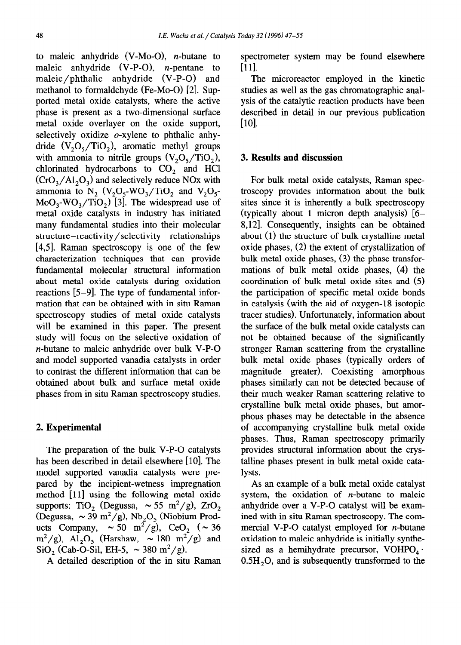to maleic anhydride **(V-MO-O),** n-butane to maleic anhydride **(V-P-O),** n-pentane to maleic/phthalic anhydride **(V-P-O)** and methanol to formaldehyde **(Fe-MO-O) [2].** Supported metal oxide catalysts, where the active phase is present as a two-dimensional surface metal oxide overlayer on the oxide support, selectively oxidize  $o$ -xylene to phthalic anhydride  $(V, O, TiO)$ , aromatic methyl groups with ammonia to nitrile groups  $(V, O, TiO_2)$ , chlorinated hydrocarbons to CO, and HCl  $(CrO<sub>3</sub>/Al<sub>2</sub>O<sub>3</sub>)$  and selectively reduce NOx with ammonia to  $N_2$  (V<sub>2</sub>O<sub>5</sub>-WO<sub>3</sub>/TiO<sub>2</sub> and V<sub>2</sub>O<sub>5</sub>- $MoO<sub>3</sub>-WO<sub>3</sub>/TiO<sub>2</sub>)$  [3]. The widespread use of metal oxide catalysts in industry has initiated many fundamental studies into their molecular structure-reactivity/selectivity relationships [4,5]. Raman spectroscopy is one of the few characterization techniques that can provide fundamental molecular structural information about metal oxide catalysts during oxidation reactions [5-g]. The type of fundamental information that can be obtained with in situ Raman spectroscopy studies of metal oxide catalysts will be examined in this paper. The present study will focus on the selective oxidation of n-butane to maleic anhydride over bulk V-P-O and model supported vanadia catalysts in order to contrast the different information that can be obtained about bulk and surface metal oxide phases from in situ Raman spectroscopy studies.

# 2. **Experimental**

The preparation of the bulk V-P-O catalysts has been described in detail elsewhere [10]. The model supported vanadia catalysts were prepared by the incipient-wetness impregnation method  $[11]$  using the following metal oxide supports: TiO<sub>2</sub> (Degussa,  $\sim 55 \text{ m}^2/\text{g}$ ), ZrO, (Degussa,  $\sim 39 \text{ m}^2/\text{g}$ ), Nb<sub>2</sub>O<sub>5</sub> (Niobium Products Company,  $\sim 50 \text{ m}^2/\text{g}$ , CeO<sub>2</sub> ( $\sim 36$ )  $m^2/g$ ), Al<sub>2</sub>O<sub>3</sub> (Harshaw,  $\sim 180 \text{ m}^2/g$ ) and SiO<sub>2</sub> (Cab-O-Sil, EH-5,  $\sim$  380 m<sup>2</sup>/g).

A detailed description of the in situ Raman

spectrometer system may be found elsewhere [ill.

The microreactor employed in the kinetic studies as well as the gas chromatographic analysis of the catalytic reaction products have been described in detail in our previous publication  $[10]$ .

# 3. **Results and discussion**

For bulk metal oxide catalysts, Raman spectroscopy provides information about the bulk sites since it is inherently a bulk spectroscopy (typically about 1 micron depth analysis) [6- 8,121. Consequently, insights can be obtained about (1) the structure of bulk crystalline metal oxide phases, (2) the extent of crystallization of bulk metal oxide phases, (3) the phase transformations of bulk metal oxide phases, (4) the coordination of bulk metal oxide sites and (5) the participation of specific metal oxide bonds in catalysis (with the aid of oxygen-18 isotopic tracer studies). Unfortunately, information about the surface of the bulk metal oxide catalysts can not be obtained because of the significantly stronger Raman scattering from the crystalline bulk metal oxide phases (typically orders of magnitude greater). Coexisting amorphous phases similarly can not be detected because of their much weaker Raman scattering relative to crystalline bulk metal oxide phases, but amorphous phases may be detectable in the absence of accompanying crystalline bulk metal oxide phases. Thus, Raman spectroscopy primarily provides structural information about the crystalline phases present in bulk metal oxide catalysts.

As an example of a bulk metal oxide catalyst system, the oxidation of  $n$ -butane to maleic anhydride over a V-P-O catalyst will be examined with in situ Raman spectroscopy. The commercial V-P-O catalyst employed for *n*-butane oxidation to maleic anhydride is initially synthesized as a hemihydrate precursor, VOHPO<sub>4</sub>  $\cdot$  $0.5H<sub>2</sub>O$ , and is subsequently transformed to the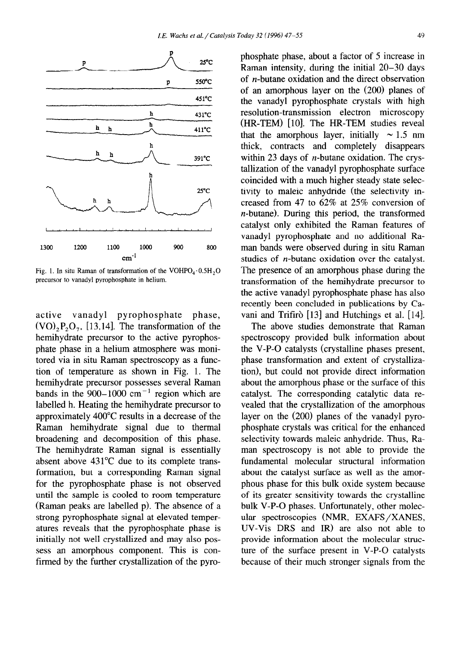

Fig. 1. In situ Raman of transformation of the  $VOHPO<sub>4</sub>·0.5H<sub>2</sub>O$ precursor to vanadyl pyrophosphate in helium.

active vanadyl pyrophosphate phase,  $(VO)$ ,  $P_2O_7$ , [13,14]. The transformation of the hemihydrate precursor to the active pyrophosphate phase in a helium atmosphere was monitored via in situ Raman spectroscopy as a function of temperature as shown in Fig. 1. The hemihydrate precursor possesses several Raman bands in the 900–1000  $\text{cm}^{-1}$  region which are labelled h. Heating the hemihydrate precursor to approximately 400°C results in a decrease of the Raman hemihydrate signal due to thermal broadening and decomposition of this phase. The hemihydrate Raman signal is essentially absent above 431°C due to its complete transformation, but a corresponding Raman signal for the pyrophosphate phase is not observed until the sample is cooled to room temperature (Raman peaks are labelled p). The absence of a strong pyrophosphate signal at elevated temperatures reveals that the pyrophosphate phase is initially not well crystallized and may also possess an amorphous component. This is confirmed by the further crystallization of the pyrophosphate phase, about a factor of 5 increase in Raman intensity, during the initial 20-30 days of n-butane oxidation and the direct observation of an amorphous layer on the (200) planes of the vanadyl pyrophosphate crystals with high resolution-transmission electron microscopy (HR-TEM) [lo]. The HR-TEM studies reveal that the amorphous layer, initially  $\sim 1.5$  nm thick, contracts and completely disappears within 23 days of  $n$ -butane oxidation. The crystallization of the vanadyl pyrophosphate surface coincided with a much higher steady state selectivity to maleic anhydride (the selectivity increased from 47 to 62% at 25% conversion of n-butane). During this period, the transformed catalyst only exhibited the Raman features of vanadyl pyrophosphate and no additional Raman bands were observed during in situ Raman studies of n-butane oxidation over the catalyst. The presence of an amorphous phase during the transformation of the hemihydrate precursor to the active vanadyl pyrophosphate phase has also recently been concluded in publications by Cavani and Trifirò [13] and Hutchings et al. [14].

The above studies demonstrate that Raman spectroscopy provided bulk information about the V-P-O catalysts (crystalline phases present, phase transformation and extent of crystallization), but could not provide direct information about the amorphous phase or the surface of this catalyst. The corresponding catalytic data revealed that the crystallization of the amorphous layer on the (200) planes of the vanadyl pyrophosphate crystals was critical for the enhanced selectivity towards maleic anhydride. Thus, Raman spectroscopy is not able to provide the fundamental molecular structural information about the catalyst surface as well as the amorphous phase for this bulk oxide system because of its greater sensitivity towards the crystalline bulk V-P-O phases. Unfortunately, other molec**ular** spectroscopies (NMR, EXAFS/XANES, UV-Vis DRS and IR) are also not able to provide information about the molecular structure of the surface present in V-P-O catalysts because of their much stronger signals from the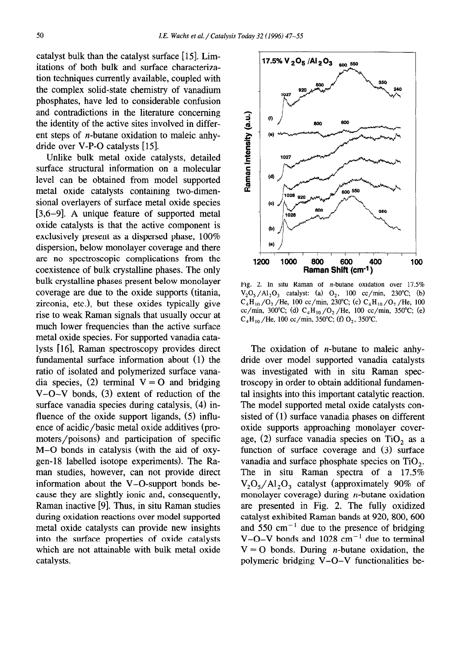catalyst bulk than the catalyst surface [15]. Limitations of both bulk and surface characterization techniques currently available, coupled with the complex solid-state chemistry of vanadium phosphates, have led to considerable confusion and contradictions in the literature concerning the identity of the active sites involved in different steps of n-butane oxidation to maleic anhydride over V-P-O catalysts [15].

Unlike bulk metal oxide catalysts, detailed surface structural information on a molecular level can be obtained from model supported metal oxide catalysts containing two-dimensional overlayers of surface metal oxide species [3,6-9]. A unique feature of supported metal oxide catalysts is that the active component is exclusively present as a dispersed phase, 100% dispersion, below monolayer coverage and there are no spectroscopic complications from the coexistence of bulk crystalline phases. The only bulk crystalline phases present below monolayer coverage are due to the oxide supports (titania, zirconia, etc.), but these oxides typically give rise to weak Raman signals that usually occur at much lower frequencies than the active surface metal oxide species. For supported vanadia catalysts [16], Raman spectroscopy provides direct fundamental surface information about (1) the ratio of isolated and polymerized surface vanadia species, (2) terminal  $V = O$  and bridging V-O-V bonds, (3) extent of reduction of the surface vanadia species during catalysis, (4) influence of the oxide support ligands, (5) influence of acidic/basic metal oxide additives (promoters/poisons) and participation of specific M-O bonds in catalysis (with the aid of oxygen-18 labelled isotope experiments). The Raman studies, however, can not provide direct information about the V-O-support bonds because they are slightly ionic and, consequently, Raman inactive [9]. Thus, in situ Raman studies during oxidation reactions over model supported metal oxide catalysts can provide new insights into the surface properties of oxide catalysts which are not attainable with bulk metal oxide catalysts.



Fig. 2. In situ Raman of n-butane oxidation over 17.5%  $V_2O_5/Al_2O_3$  catalyst: (a)  $O_2$ , 100 cc/min, 230°C; (b)  $C_4H_{10}/O_2$  /He, 100 cc/min, 230°C; (c)  $C_4H_{10}/O_2$  /He, 100 cc/min, 300°C; (d)  $C_4H_{10}/O_2$ /He, 100 cc/min, 350°C; (e)  $C_4H_{10}$  /He, 100 cc/min, 350°C; (f) O<sub>2</sub>, 350°C.

The oxidation of  $n$ -butane to maleic anhydride over model supported vanadia catalysts was investigated with in situ Raman spectroscopy in order to obtain additional fundamental insights into this important catalytic reaction. The model supported metal oxide catalysts consisted of (1) surface vanadia phases on different oxide supports approaching monolayer coverage, (2) surface vanadia species on  $TiO<sub>2</sub>$  as a function of surface coverage and (3) surface vanadia and surface phosphate species on TiO,. The in situ Raman spectra of a 17.5%  $V_2O_5/Al_2O_3$  catalyst (approximately 90% of monolayer coverage) during  $n$ -butane oxidation are presented in Fig. 2. The fully oxidized catalyst exhibited Raman bands at 920, 800, 600 and  $550 \text{ cm}^{-1}$  due to the presence of bridging V-O-V bonds and  $1028 \text{ cm}^{-1}$  due to terminal  $V = O$  bonds. During *n*-butane oxidation, the polymeric bridging V-O-V functionalities be-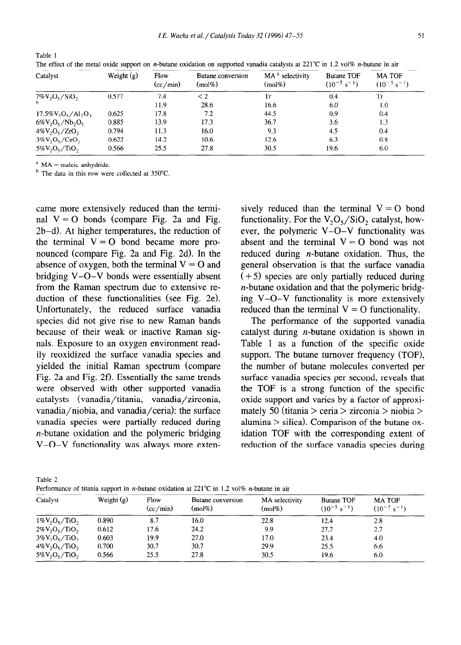| Catalyst               | Weight $(g)$ | Flow<br>(cc/min) | Butane conversion<br>$(mol\%)$ | MA <sup>a</sup> selectivity<br>$(mol\%)$ | <b>Butane TOF</b><br>$(10^{-5} \text{ s}^{-1})$ | <b>MATOF</b><br>$(10^{-5} s^{-1})$ |
|------------------------|--------------|------------------|--------------------------------|------------------------------------------|-------------------------------------------------|------------------------------------|
| $7\%V_2O_5/SiO_2$      | 0.577        | 7.4              | $\leq$ 2                       | Tr                                       | 0.4                                             | Tr                                 |
|                        |              | 11.9             | 28.6                           | 16.6                                     | 6.0                                             | 1.0                                |
| $17.5\%V_2O_5/Al_2O_3$ | 0.625        | 17.8             | 7.2                            | 44.5                                     | 0.9                                             | 0.4                                |
| $6\%V_2O_5/Nb_2O_5$    | 0.885        | 13.9             | 17.3                           | 36.7                                     | 3.6                                             | 1.3                                |
| $4\%V_2O_5/ZrO_2$      | 0.794        | 11.3             | 16.0                           | 9.3                                      | 4.5                                             | 0.4                                |
| $3\%V, O, CeO,$        | 0.622        | 14.2             | 10.6                           | 12.6                                     | 6.3                                             | 0.8                                |
| $5\%V_2O_5/TiO_2$      | 0.566        | 25.5             | 27.8                           | 30.5                                     | 19.6                                            | 6.0                                |

Table 1 The effect of the metal oxide support on *n*-butane oxidation on supported vanadia catalysts at  $221^{\circ}\text{C}$  in 1.2 vol% *n*-butane in air

 $A^a$  MA = maleic anhydride.

 $<sup>b</sup>$  The data in this row were collected at 350 $^{\circ}$ C.</sup>

came more extensively reduced than the terminal  $V = O$  bonds (compare Fig. 2a and Fig. 2b-d). At higher temperatures, the reduction of the terminal  $V = O$  bond became more pronounced (compare Fig. 2a and Fig. 2d). In the absence of oxygen, both the terminal  $V = O$  and bridging V-O-V bonds were essentially absent from the Raman spectrum due to extensive reduction of these functionalities (see Fig. 2e). Unfortunately, the reduced surface vanadia species did not give rise to new Raman bands because of their weak or inactive Raman signals. Exposure to an oxygen environment readily reoxidized the surface vanadia species and yielded the initial Raman spectrum (compare Fig. 2a and Fig. 2f). Essentially the same trends were observed with other supported vanadia catalysts (vanadia/titania, vanadia/zirconia, vanadia/niobia, and vanadia/ceria): the surface vanadia species were partially reduced during n-butane oxidation and the polymeric bridging V-O-V functionality was always more exten-

sively reduced than the terminal  $V = O$  bond functionality. For the  $V_2O_5/SiO_2$  catalyst, however, the polymeric V-O-V functionality was absent and the terminal  $V = O$  bond was not reduced during  $n$ -butane oxidation. Thus, the general observation is that the surface vanadia  $(+ 5)$  species are only partially reduced during n-butane oxidation and that the polymeric bridging V-O-V functionality is more extensively reduced than the terminal  $V = O$  functionality.

The performance of the supported vanadia catalyst during  $n$ -butane oxidation is shown in Table 1 as a function of the specific oxide support. The butane turnover frequency (TOF), the number of butane molecules converted per surface vanadia species per second, reveals that the TOF is a strong function of the specific oxide support and varies by a factor of approximately 50 (titania > ceria > zirconia > niobia > alumina  $>$  silica). Comparison of the butane oxidation TOF with the corresponding extent of reduction of the surface vanadia species during

| г |  |
|---|--|
|   |  |

Performance of titania support in *n*-butane oxidation at  $221^{\circ}$ C in 1.2 vol% *n*-butane in air

| Catalyst          | Weight $(g)$ | Flow<br>(cc/min) | Butane conversion<br>(mod 6) | MA selectivity<br>(mol%) | <b>Butane TOF</b><br>$(10^{-5} s^{-1})$ | <b>MATOF</b><br>$(10^{-5} \text{ s}^{-1})$ |
|-------------------|--------------|------------------|------------------------------|--------------------------|-----------------------------------------|--------------------------------------------|
| $1\%V_2O_5/TiO_2$ | 0.890        | 8.7              | 16.0                         | 22.8                     | 12.4                                    | 2,8                                        |
| $2\%V_2O_5/TiO_2$ | 0.612        | 17.6             | 24.2                         | 9.9                      | 27.7                                    | 2.7                                        |
| $3\%V_2O_5/TiO_2$ | 0.603        | 19.9             | 27.0                         | 17.0                     | 23.4                                    | 4.0                                        |
| $4\%V_2O_5/TiO_2$ | 0.700        | 30.7             | 30.7                         | 29.9                     | 25.5                                    | 6.6                                        |
| $5\%V_2O_5/TiO_2$ | 0.566        | 25.5             | 27.8                         | 30.5                     | 19.6                                    | 6.0                                        |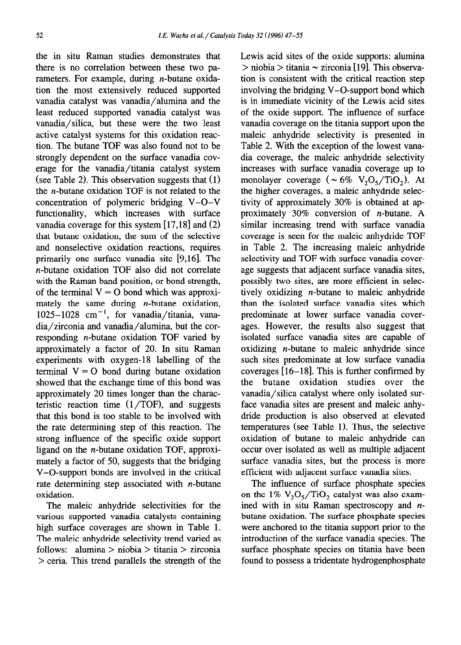the in situ Raman studies demonstrates that there is no correlation between these two parameters. For example, during  $n$ -butane oxidation the most extensively reduced supported vanadia catalyst was vanadia/alumina and the least reduced supported vanadia catalyst was vanadia/silica, but these were the two least active catalyst systems for this oxidation reaction. The butane TOF was also found not to be strongly dependent on the surface vanadia coverage for the vanadia/titania catalyst system (see Table 2). This observation suggests that (1) the n-butane oxidation TOF is not related to the concentration of polymeric bridging V-O-V functionality, which increases with surface vanadia coverage for this system  $[17,18]$  and  $(2)$ that butane oxidation, the sum of the selective and nonselective oxidation reactions, requires primarily one surface vanadia site [9,16]. The n-butane oxidation TOF also did not correlate with the Raman band position, or bond strength, of the terminal  $V = 0$  bond which was approximately the same during  $n$ -butane oxidation,  $1025-1028$  cm<sup>-1</sup>, for vanadia/titania, vanadia/zirconia and vanadia/alumina, but the corresponding n-butane oxidation TOF varied by approximately a factor of 20. In situ Raman experiments with oxygen-18 labelling of the terminal  $V = O$  bond during butane oxidation showed that the exchange time of this bond was approximately 20 times longer than the characteristic reaction time  $(1/TOF)$ , and suggests that this bond is too stable to be involved with the rate determining step of this reaction. The strong influence of the specific oxide support ligand on the n-butane oxidation TOF, approximately a factor of 50, suggests that the bridging V-O-support bonds are involved in the critical rate determining step associated with  $n$ -butane oxidation.

The maleic anhydride selectivities for the various supported vanadia catalysts containing high surface coverages are shown in Table 1. The maleic anhydride selectivity trend varied as follows: alumina > niobia > titania > zirconia  $>$  ceria. This trend parallels the strength of the Lewis acid sites of the oxide supports: alumina  $>$  niobia  $>$  titania  $\sim$  zirconia [19]. This observation is consistent with the critical reaction step involving the bridging V-O-support bond which is in immediate vicinity of the Lewis acid sites of the oxide support. The influence of surface vanadia coverage on the titania support upon the maleic anhydride selectivity is presented in Table 2. With the exception of the lowest vanadia coverage, the maleic anhydride selectivity increases with surface vanadia coverage up to monolayer coverage ( $\sim 6\%$  V<sub>2</sub>O<sub>5</sub>/TiO<sub>2</sub>). At the higher coverages, a maleic anhydride selectivity of approximately 30% is obtained at approximately 30% conversion of n-butane. A similar increasing trend with surface vanadia coverage is seen for the maleic anhydride TOF in Table 2. The increasing maleic anhydride selectivity and TOF with surface vanadia coverage suggests that adjacent surface vanadia sites, possibly two sites, are more efficient in selectively oxidizing n-butane to maleic anhydride than the isolated surface vanadia sites which predominate at lower surface vanadia coverages. However, the results also suggest that isolated surface vanadia sites are capable of oxidizing  $n$ -butane to maleic anhydride since such sites predominate at low surface vanadia coverages  $\overline{[16-18]}$ . This is further confirmed by the butane oxidation studies over the vanadia/silica catalyst where only isolated surface vanadia sites are present and maleic anhydride production is also observed at elevated temperatures (see Table 1). Thus, the selective oxidation of butane to maleic anhydride can occur over isolated as well as multiple adjacent surface vanadia sites, but the process is more efficient with adjacent surface vanadia sites.

The influence of surface phosphate species on the 1%  $V_2O_5/TiO_2$  catalyst was also examined with in situ Raman spectroscopy and  $n$ butane oxidation. The surface phosphate species were anchored to the titania support prior to the introduction of the surface vanadia species. The surface phosphate species on titania have been found to possess a tridentate hydrogenphosphate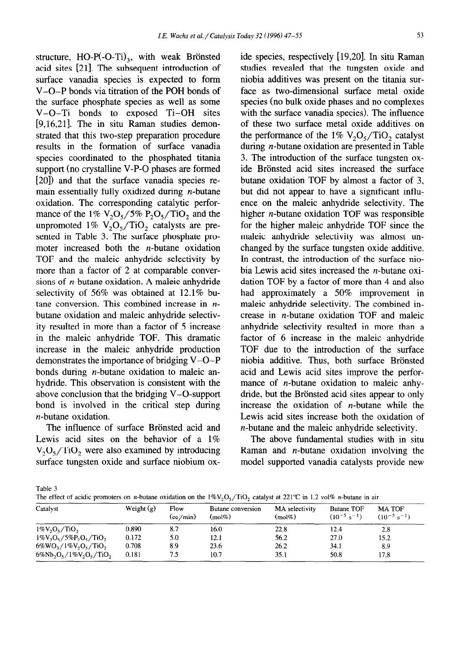structure,  $HO-P(-O-Ti)$ , with weak Brönsted acid sites [21]. The subsequent introduction of surface vanadia species is expected to form V-O-P bonds via titration of the POH bonds of the surface phosphate species as well as some V-O-T1 bonds to exposed Ti-OH sites [9,16,21]. The in situ Raman studies demonstrated that this two-step preparation procedure results in the formation of surface vanadia species coordinated to the phosphated titania support (no crystalline V-P-O phases are formed [20]) and that the surface vanadia species remain essentially fully oxidized during  $n$ -butane oxidation. The corresponding catalytic performance of the 1%  $V_2O_5/5% P_2O_5/TiO_2$  and the unpromoted 1%  $V_2O_5/TiO_2$  catalysts are presented in Table 3. The surface phosphate promoter increased both the  $n$ -butane oxidation TOF and the maleic anhydride selectivity by more than a factor of 2 at comparable conversions of  $n$ -butane oxidation. A maleic anhydride selectivity of 56% was obtained at 12.1% butane conversion. This combined increase in  $n$ butane oxidation and maleic anhydride selectivity resulted in more than a factor of 5 increase in the maleic anhydride TOF. This dramatic increase in the maleic anhydride production demonstrates the importance of bridging V-O-P bonds during  $n$ -butane oxidation to maleic anhydride. This observation is consistent with the above conclusion that the bridging V-O-support bond is involved in the critical step during n-butane oxidation.

The influence of surface Brönsted acid and Lewis acid sites on the behavior of a  $1\%$  $V_2O_5/TiO_2$ , were also examined by introducing surface tungsten oxide and surface niobium oxide species, respectively [19,20]. In situ Raman studies revealed that the tungsten oxide and niobia additives was present on the titania surface as two-dimensional surface metal oxide species (no bulk oxide phases and no complexes with the surface vanadia species). The influence of these two surface metal oxide additives on the performance of the  $1\%$  V<sub>2</sub>O<sub>5</sub>/TiO<sub>2</sub> catalyst during n-butane oxidation are presented in Table 3. The introduction of the surface tungsten oxide Brönsted acid sites increased the surface butane oxidation TOF by almost a factor of 3, but did not appear to have a significant influence on the maleic anhydride selectivity. The higher n-butane oxidation TOF was responsible for the higher maleic anhydride TOF since the maleic anhydride selectivity was almost unchanged by the surface tungsten oxide additive. In contrast, the introduction of the surface niobia Lewis acid sites increased the n-butane oxidation TOF by a factor of more than 4 and also had approximately a 50% improvement in maleic anbydride selectivity. The combined increase in n-butane oxidation TOF and maleic anhydride selectivity resulted in more than a factor of 6 increase in the maleic anhydride TOF due to the introduction of the surface niobia additive. Thus, both surface Brönsted acid and Lewis acid sites improve the performance of *n*-butane oxidation to maleic anhydride, but the Brönsted acid sites appear to only increase the oxidation of  $n$ -butane while the Lewis acid sites increase both the oxidation of n-butane and the maleic anhydride selectivity.

The above fundamental studies with in situ Raman and *n*-butane oxidation involving the model supported vanadia catalysts provide new

Table 3

| The effect of acidic promoters on <i>n</i> -butane oxidation on the $1\%V_2O_5/TiO_2$ catalyst at 221°C in 1.2 vol% <i>n</i> -butane in air |  |  |
|---------------------------------------------------------------------------------------------------------------------------------------------|--|--|
|                                                                                                                                             |  |  |
|                                                                                                                                             |  |  |

| Catalyst                     | Weight $(g)$ | Flow<br>(cc/min) | Butane conversion<br>$(mol\%)$ | MA selectivity<br>$(mol\%)$ | <b>Butane TOF</b><br>$(10^{-5} \text{ s}^{-1})$ | <b>MA TOF</b><br>$(10^{-5} s^{-1})$ |
|------------------------------|--------------|------------------|--------------------------------|-----------------------------|-------------------------------------------------|-------------------------------------|
| $1\%V_2O_5/TiO_2$            | 0.890        | 8.7              | 16.0                           | 22.8                        | 12.4                                            | 2.8                                 |
| $1\%V_2O_5/5\%P_2O_5/TiO_2$  | 0.172        | 5.0              | 12.1                           | 56.2                        | 27.0                                            | 15.2                                |
| $6\%WO_1/1\%V_2O_5/TiO_2$    | 0.708        | 8.9              | 23.6                           | 26.2                        | 34.1                                            | 8.9                                 |
| $6\%Nb_2O_5/1\%V_2O_5/TiO_2$ | 0.181        | 7.5              | 10.7                           | 35.1                        | 50.8                                            | 17.8                                |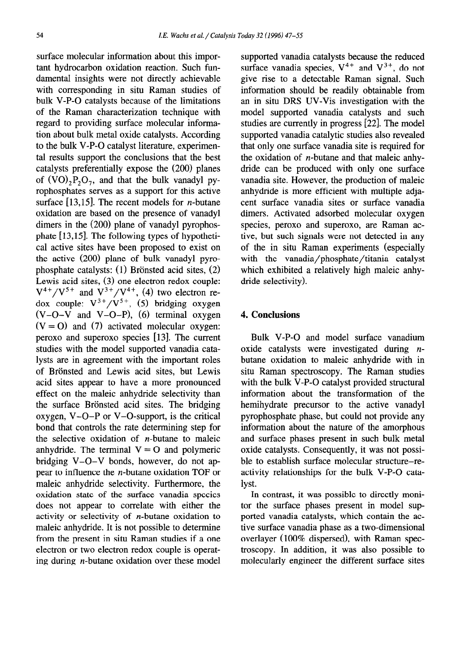surface molecular information about this important hydrocarbon oxidation reaction. Such fundamental insights were not directly achievable with corresponding in situ Raman studies of bulk V-P-O catalysts because of the limitations of the Raman characterization technique with regard to providing surface molecular information about bulk metal oxide catalysts. According to the bulk V-P-O catalyst literature, experimental results support the conclusions that the best catalysts preferentially expose the (200) planes of  $(VO)$ ,  $P_2O_7$ , and that the bulk vanadyl pyrophosphates serves as a support for this active surface [13,15]. The recent models for *n*-butane oxidation are based on the presence of vanadyl dimers in the (200) plane of vanadyl pyrophosphate  $[13, 15]$ . The following types of hypothetical active sites have been proposed to exist on the active (200) plane of bulk vanadyl pyrophosphate catalysts:  $(1)$  Brönsted acid sites,  $(2)$ Lewis acid sites, (3) one electron redox couple:  $V^{4+}/V^{5+}$  and  $V^{3+}/V^{4+}$ , (4) two electron redox couple:  $V^{3+}/V^{5+}$ , (5) bridging oxygen  $(V-O-V$  and  $V-O-P$ ), (6) terminal oxygen  $(V = 0)$  and (7) activated molecular oxygen: peroxo and superoxo species [13]. The current studies with the model supported vanadia catalysts are in agreement with the important roles of Brönsted and Lewis acid sites, but Lewis acid sites appear to have a more pronounced effect on the maleic anhydride selectivity than the surface Brönsted acid sites. The bridging oxygen, V-O-P or V-O-support, is the critical bond that controls the rate determining step for the selective oxidation of  $n$ -butane to maleic anhydride. The terminal  $V = O$  and polymeric bridging V-O-V bonds, however, do not appear to influence the n-butane oxidation TOF or maleic anhydride selectivity. Furthermore, the oxidation state of the surface vanadia species does not appear to correlate with either the activity or selectivity of  $n$ -butane oxidation to maleic anhydride. It is not possible to determine from the present in situ Raman studies if a one electron or two electron redox couple is operating during n-butane oxidation over these model supported vanadia catalysts because the reduced surface vanadia species,  $V^{4+}$  and  $V^{3+}$ , do not give rise to a detectable Raman signal. Such information should be readily obtainable from an in situ DRS UV-Vis investigation with the model supported vanadia catalysts and such studies are currently in progress [22]. The model supported vanadia catalytic studies also revealed that only one surface vanadia site is required for the oxidation of  $n$ -butane and that maleic anhydride can be produced with only one surface vanadia site. However, the production of maleic anhydride is more efficient with multiple adjacent surface vanadia sites or surface vanadia dimers. Activated adsorbed molecular oxygen species, peroxo and superoxo, are Raman active, but such signals were not detected in any of the in situ Raman experiments (especially with the vanadia/phosphate/titania catalyst which exhibited a relatively high maleic anhydride selectivity).

# 4. **Conclusions**

Bulk V-P-O and model surface vanadium oxide catalysts were investigated during  $n$ butane oxidation to maleic anhydride with in situ Raman spectroscopy. The Raman studies with the bulk V-P-O catalyst provided structural information about the transformation of the hemihydrate precursor to the active vanadyl pyrophosphate phase, but could not provide any information about the nature of the amorphous and surface phases present in such bulk metal oxide catalysts. Consequently, it was not possible to establish surface molecular structure-reactivity relationships for the bulk V-P-O catalyst.

In contrast, it was possible to directly monitor the surface phases present in model supported vanadia catalysts, which contain the active surface vanadia phase as a two-dimensional overlayer (100% dispersed), with Raman spectroscopy. In addition, it was also possible to molecularly engineer the different surface sites